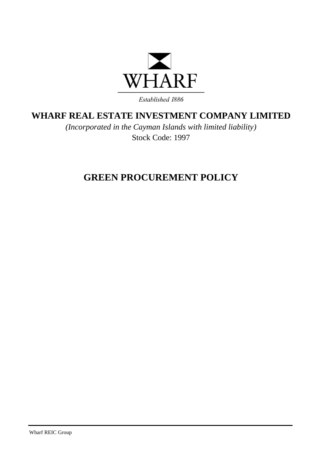

Established 1886

## **WHARF REAL ESTATE INVESTMENT COMPANY LIMITED**

*(Incorporated in the Cayman Islands with limited liability)* Stock Code: 1997

## **GREEN PROCUREMENT POLICY**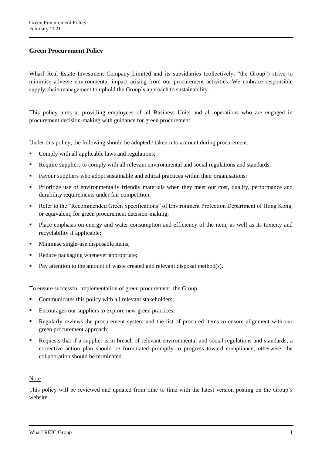## **Green Procurement Policy**

Wharf Real Estate Investment Company Limited and its subsidiaries (collectively, "the Group") strive to minimise adverse environmental impact arising from our procurement activities. We embrace responsible supply chain management to uphold the Group's approach to sustainability.

This policy aims at providing employees of all Business Units and all operations who are engaged in procurement decision-making with guidance for green procurement.

Under this policy, the following should be adopted / taken into account during procurement:

- Comply with all applicable laws and regulations;
- Require suppliers to comply with all relevant environmental and social regulations and standards;
- **Favour suppliers who adopt sustainable and ethical practices within their organisations;**
- Prioritize use of environmentally friendly materials when they meet our cost, quality, performance and durability requirements under fair competition;
- Refer to the "Recommended Green Specifications" of Environment Protection Department of Hong Kong, or equivalent, for green procurement decision-making;
- Place emphasis on energy and water consumption and efficiency of the item, as well as its toxicity and recyclability if applicable;
- **Minimise single-use disposable items;**
- Reduce packaging whenever appropriate;
- Pay attention to the amount of waste created and relevant disposal method(s).

To ensure successful implementation of green procurement, the Group:

- Communicates this policy with all relevant stakeholders;
- Encourages our suppliers to explore new green practices;
- Regularly reviews the procurement system and the list of procured items to ensure alignment with our green procurement approach;
- Requests that if a supplier is in breach of relevant environmental and social regulations and standards, a corrective action plan should be formulated promptly to progress toward compliance; otherwise, the collaboration should be terminated.

## Note

This policy will be reviewed and updated from time to time with the latest version posting on the Group's website.